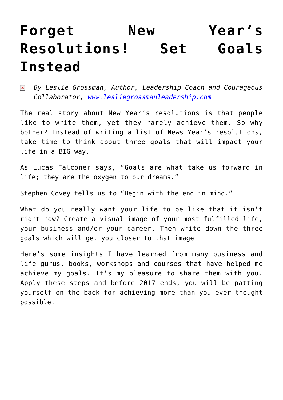## **[Forget New Year's](https://www.commpro.biz/forget-new-years-resolutions-set-goals-instead/) [Resolutions! Set Goals](https://www.commpro.biz/forget-new-years-resolutions-set-goals-instead/) [Instead](https://www.commpro.biz/forget-new-years-resolutions-set-goals-instead/)**

*By Leslie Grossman, Author, Leadership Coach and Courageous*  $\pmb{\times}$ *Collaborator, [www.lesliegrossmanleadership.com](https://lesliegrossmanleadership.com/)*

The real story about New Year's resolutions is that people like to write them, yet they rarely achieve them. So why bother? Instead of writing a list of News Year's resolutions, take time to think about three goals that will impact your life in a BIG way.

As Lucas Falconer says, "Goals are what take us forward in life; they are the oxygen to our dreams."

Stephen Covey tells us to "Begin with the end in mind."

What do you really want your life to be like that it isn't right now? Create a visual image of your most fulfilled life, your [business](https://www.commpro.biz/) and/or your career. Then write down the three goals which will get you closer to that image.

Here's some insights I have learned from many business and life gurus, books, workshops and courses that have helped me achieve my goals. It's my pleasure to share them with you. Apply these steps and before 2017 ends, you will be patting yourself on the back for achieving more than you ever thought possible.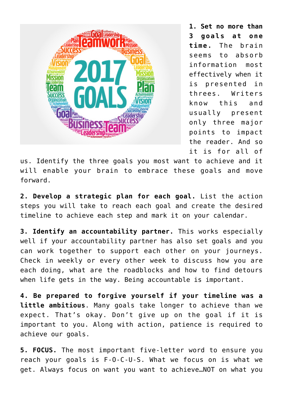

**1. Set no more than 3 goals at one time.** The brain seems to absorb information most effectively when it is presented in threes. Writers know this and usually present only three major points to impact the reader. And so it is for all of

us. Identify the three goals you most want to achieve and it will enable your brain to embrace these goals and move forward.

**2. Develop a strategic plan for each goal.** List the action steps you will take to reach each goal and create the desired timeline to achieve each step and mark it on your calendar.

**3. Identify an accountability partner.** This works especially well if your accountability partner has also set goals and you can work together to support each other on your journeys. Check in weekly or every other week to discuss how you are each doing, what are the roadblocks and how to find detours when life gets in the way. Being accountable is important.

**4. Be prepared to forgive yourself if your timeline was a little ambitious**. Many goals take longer to achieve than we expect. That's okay. Don't give up on the goal if it is important to you. Along with action, patience is required to achieve our goals.

**5. FOCUS.** The most important five-letter word to ensure you reach your goals is F-O-C-U-S. What we focus on is what we get. Always focus on want you want to achieve…NOT on what you